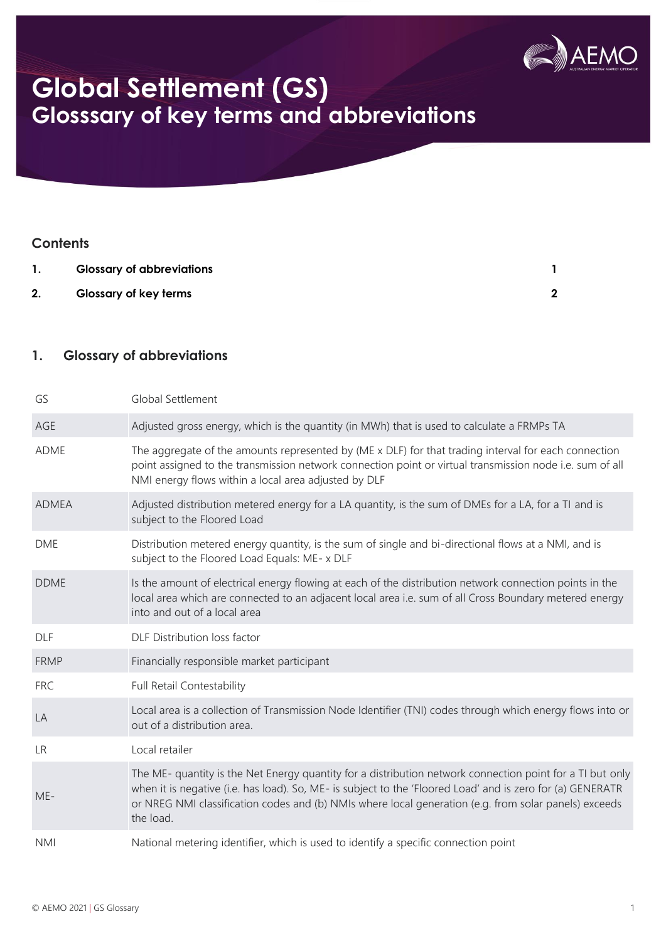

## **Global Settlement (GS) Glosssary of key terms and abbreviations**

#### **Contents**

|    | <b>Glossary of abbreviations</b> |  |
|----|----------------------------------|--|
| 2. | <b>Glossary of key terms</b>     |  |

#### <span id="page-0-0"></span>**1. Glossary of abbreviations**

| GS           | Global Settlement                                                                                                                                                                                                                                                                                                                             |
|--------------|-----------------------------------------------------------------------------------------------------------------------------------------------------------------------------------------------------------------------------------------------------------------------------------------------------------------------------------------------|
| AGE          | Adjusted gross energy, which is the quantity (in MWh) that is used to calculate a FRMPs TA                                                                                                                                                                                                                                                    |
| <b>ADME</b>  | The aggregate of the amounts represented by (ME x DLF) for that trading interval for each connection<br>point assigned to the transmission network connection point or virtual transmission node i.e. sum of all<br>NMI energy flows within a local area adjusted by DLF                                                                      |
| <b>ADMEA</b> | Adjusted distribution metered energy for a LA quantity, is the sum of DMEs for a LA, for a TI and is<br>subject to the Floored Load                                                                                                                                                                                                           |
| <b>DME</b>   | Distribution metered energy quantity, is the sum of single and bi-directional flows at a NMI, and is<br>subject to the Floored Load Equals: ME- x DLF                                                                                                                                                                                         |
| <b>DDME</b>  | Is the amount of electrical energy flowing at each of the distribution network connection points in the<br>local area which are connected to an adjacent local area i.e. sum of all Cross Boundary metered energy<br>into and out of a local area                                                                                             |
| <b>DLF</b>   | DLF Distribution loss factor                                                                                                                                                                                                                                                                                                                  |
| <b>FRMP</b>  | Financially responsible market participant                                                                                                                                                                                                                                                                                                    |
| <b>FRC</b>   | Full Retail Contestability                                                                                                                                                                                                                                                                                                                    |
| LA           | Local area is a collection of Transmission Node Identifier (TNI) codes through which energy flows into or<br>out of a distribution area.                                                                                                                                                                                                      |
| <b>LR</b>    | Local retailer                                                                                                                                                                                                                                                                                                                                |
| ME-          | The ME- quantity is the Net Energy quantity for a distribution network connection point for a TI but only<br>when it is negative (i.e. has load). So, ME- is subject to the 'Floored Load' and is zero for (a) GENERATR<br>or NREG NMI classification codes and (b) NMIs where local generation (e.g. from solar panels) exceeds<br>the load. |
| <b>NMI</b>   | National metering identifier, which is used to identify a specific connection point                                                                                                                                                                                                                                                           |